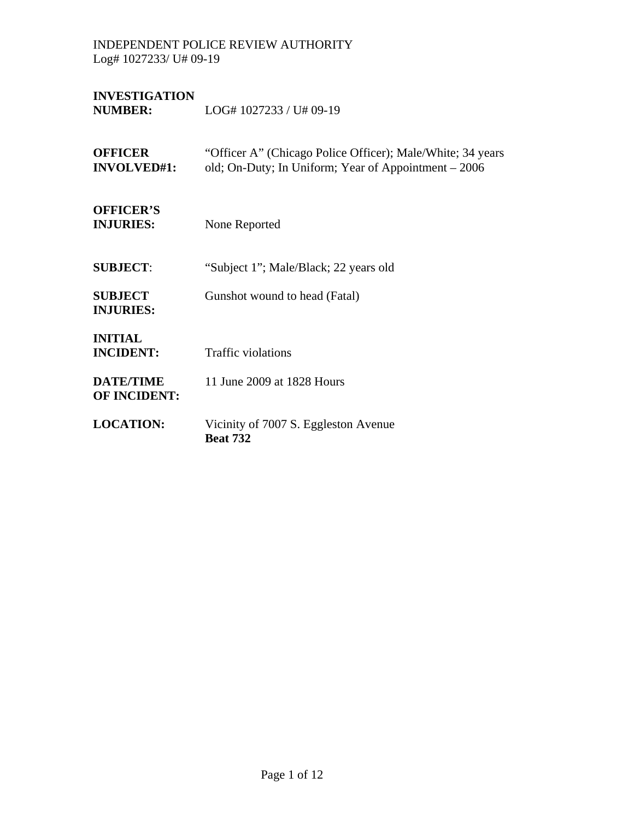**INVESTIGATION**  LOG# 1027233 / U# 09-19

| <b>OFFICER</b><br><b>INVOLVED#1:</b>    | "Officer A" (Chicago Police Officer); Male/White; 34 years<br>old; On-Duty; In Uniform; Year of Appointment – 2006 |
|-----------------------------------------|--------------------------------------------------------------------------------------------------------------------|
| <b>OFFICER'S</b><br><b>INJURIES:</b>    | None Reported                                                                                                      |
| <b>SUBJECT:</b>                         | "Subject 1"; Male/Black; 22 years old                                                                              |
| <b>SUBJECT</b><br><b>INJURIES:</b>      | Gunshot wound to head (Fatal)                                                                                      |
| <b>INITIAL</b><br><b>INCIDENT:</b>      | <b>Traffic violations</b>                                                                                          |
| <b>DATE/TIME</b><br><b>OF INCIDENT:</b> | 11 June 2009 at 1828 Hours                                                                                         |
| <b>LOCATION:</b>                        | Vicinity of 7007 S. Eggleston Avenue<br><b>Beat 732</b>                                                            |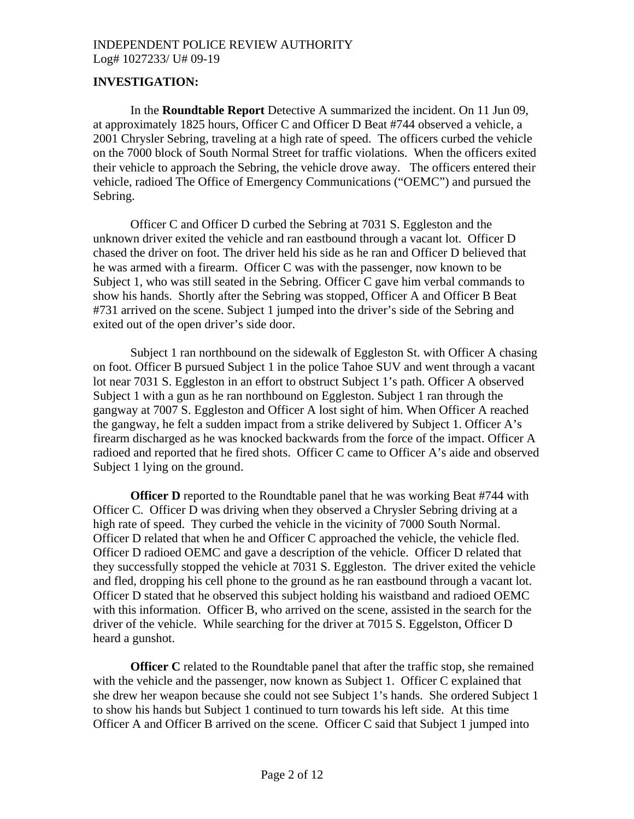# **INVESTIGATION:**

 In the **Roundtable Report** Detective A summarized the incident. On 11 Jun 09, at approximately 1825 hours, Officer C and Officer D Beat #744 observed a vehicle, a 2001 Chrysler Sebring, traveling at a high rate of speed. The officers curbed the vehicle on the 7000 block of South Normal Street for traffic violations. When the officers exited their vehicle to approach the Sebring, the vehicle drove away. The officers entered their vehicle, radioed The Office of Emergency Communications ("OEMC") and pursued the Sebring.

 Officer C and Officer D curbed the Sebring at 7031 S. Eggleston and the unknown driver exited the vehicle and ran eastbound through a vacant lot. Officer D chased the driver on foot. The driver held his side as he ran and Officer D believed that he was armed with a firearm. Officer C was with the passenger, now known to be Subject 1, who was still seated in the Sebring. Officer C gave him verbal commands to show his hands. Shortly after the Sebring was stopped, Officer A and Officer B Beat #731 arrived on the scene. Subject 1 jumped into the driver's side of the Sebring and exited out of the open driver's side door.

 Subject 1 ran northbound on the sidewalk of Eggleston St. with Officer A chasing on foot. Officer B pursued Subject 1 in the police Tahoe SUV and went through a vacant lot near 7031 S. Eggleston in an effort to obstruct Subject 1's path. Officer A observed Subject 1 with a gun as he ran northbound on Eggleston. Subject 1 ran through the gangway at 7007 S. Eggleston and Officer A lost sight of him. When Officer A reached the gangway, he felt a sudden impact from a strike delivered by Subject 1. Officer A's firearm discharged as he was knocked backwards from the force of the impact. Officer A radioed and reported that he fired shots. Officer C came to Officer A's aide and observed Subject 1 lying on the ground.

**Officer D** reported to the Roundtable panel that he was working Beat #744 with Officer C. Officer D was driving when they observed a Chrysler Sebring driving at a high rate of speed. They curbed the vehicle in the vicinity of 7000 South Normal. Officer D related that when he and Officer C approached the vehicle, the vehicle fled. Officer D radioed OEMC and gave a description of the vehicle. Officer D related that they successfully stopped the vehicle at 7031 S. Eggleston. The driver exited the vehicle and fled, dropping his cell phone to the ground as he ran eastbound through a vacant lot. Officer D stated that he observed this subject holding his waistband and radioed OEMC with this information. Officer B, who arrived on the scene, assisted in the search for the driver of the vehicle. While searching for the driver at 7015 S. Eggelston, Officer D heard a gunshot.

**Officer C** related to the Roundtable panel that after the traffic stop, she remained with the vehicle and the passenger, now known as Subject 1. Officer C explained that she drew her weapon because she could not see Subject 1's hands. She ordered Subject 1 to show his hands but Subject 1 continued to turn towards his left side. At this time Officer A and Officer B arrived on the scene. Officer C said that Subject 1 jumped into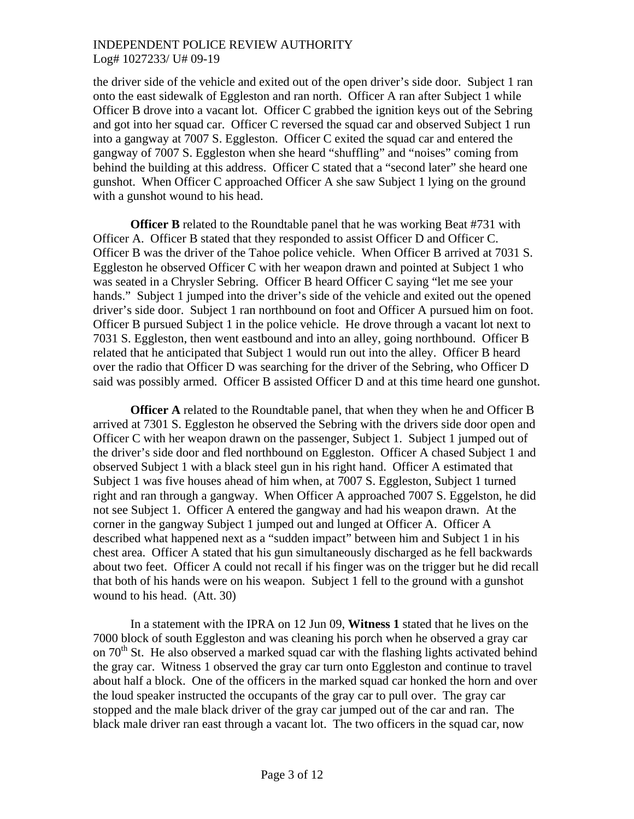the driver side of the vehicle and exited out of the open driver's side door. Subject 1 ran onto the east sidewalk of Eggleston and ran north. Officer A ran after Subject 1 while Officer B drove into a vacant lot. Officer C grabbed the ignition keys out of the Sebring and got into her squad car. Officer C reversed the squad car and observed Subject 1 run into a gangway at 7007 S. Eggleston. Officer C exited the squad car and entered the gangway of 7007 S. Eggleston when she heard "shuffling" and "noises" coming from behind the building at this address. Officer C stated that a "second later" she heard one gunshot. When Officer C approached Officer A she saw Subject 1 lying on the ground with a gunshot wound to his head.

**Officer B** related to the Roundtable panel that he was working Beat #731 with Officer A. Officer B stated that they responded to assist Officer D and Officer C. Officer B was the driver of the Tahoe police vehicle. When Officer B arrived at 7031 S. Eggleston he observed Officer C with her weapon drawn and pointed at Subject 1 who was seated in a Chrysler Sebring. Officer B heard Officer C saying "let me see your hands." Subject 1 jumped into the driver's side of the vehicle and exited out the opened driver's side door. Subject 1 ran northbound on foot and Officer A pursued him on foot. Officer B pursued Subject 1 in the police vehicle. He drove through a vacant lot next to 7031 S. Eggleston, then went eastbound and into an alley, going northbound. Officer B related that he anticipated that Subject 1 would run out into the alley. Officer B heard over the radio that Officer D was searching for the driver of the Sebring, who Officer D said was possibly armed. Officer B assisted Officer D and at this time heard one gunshot.

**Officer A** related to the Roundtable panel, that when they when he and Officer B arrived at 7301 S. Eggleston he observed the Sebring with the drivers side door open and Officer C with her weapon drawn on the passenger, Subject 1. Subject 1 jumped out of the driver's side door and fled northbound on Eggleston. Officer A chased Subject 1 and observed Subject 1 with a black steel gun in his right hand. Officer A estimated that Subject 1 was five houses ahead of him when, at 7007 S. Eggleston, Subject 1 turned right and ran through a gangway. When Officer A approached 7007 S. Eggelston, he did not see Subject 1. Officer A entered the gangway and had his weapon drawn. At the corner in the gangway Subject 1 jumped out and lunged at Officer A. Officer A described what happened next as a "sudden impact" between him and Subject 1 in his chest area. Officer A stated that his gun simultaneously discharged as he fell backwards about two feet. Officer A could not recall if his finger was on the trigger but he did recall that both of his hands were on his weapon. Subject 1 fell to the ground with a gunshot wound to his head. (Att. 30)

 In a statement with the IPRA on 12 Jun 09, **Witness 1** stated that he lives on the 7000 block of south Eggleston and was cleaning his porch when he observed a gray car on  $70<sup>th</sup>$  St. He also observed a marked squad car with the flashing lights activated behind the gray car. Witness 1 observed the gray car turn onto Eggleston and continue to travel about half a block. One of the officers in the marked squad car honked the horn and over the loud speaker instructed the occupants of the gray car to pull over. The gray car stopped and the male black driver of the gray car jumped out of the car and ran. The black male driver ran east through a vacant lot. The two officers in the squad car, now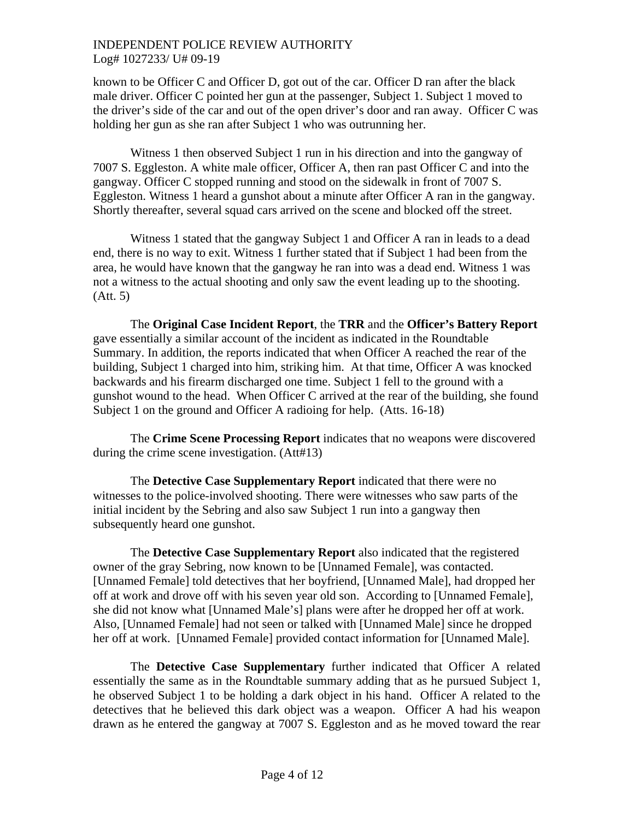known to be Officer C and Officer D, got out of the car. Officer D ran after the black male driver. Officer C pointed her gun at the passenger, Subject 1. Subject 1 moved to the driver's side of the car and out of the open driver's door and ran away. Officer C was holding her gun as she ran after Subject 1 who was outrunning her.

 Witness 1 then observed Subject 1 run in his direction and into the gangway of 7007 S. Eggleston. A white male officer, Officer A, then ran past Officer C and into the gangway. Officer C stopped running and stood on the sidewalk in front of 7007 S. Eggleston. Witness 1 heard a gunshot about a minute after Officer A ran in the gangway. Shortly thereafter, several squad cars arrived on the scene and blocked off the street.

 Witness 1 stated that the gangway Subject 1 and Officer A ran in leads to a dead end, there is no way to exit. Witness 1 further stated that if Subject 1 had been from the area, he would have known that the gangway he ran into was a dead end. Witness 1 was not a witness to the actual shooting and only saw the event leading up to the shooting. (Att. 5)

 The **Original Case Incident Report**, the **TRR** and the **Officer's Battery Report** gave essentially a similar account of the incident as indicated in the Roundtable Summary. In addition, the reports indicated that when Officer A reached the rear of the building, Subject 1 charged into him, striking him. At that time, Officer A was knocked backwards and his firearm discharged one time. Subject 1 fell to the ground with a gunshot wound to the head. When Officer C arrived at the rear of the building, she found Subject 1 on the ground and Officer A radioing for help. (Atts. 16-18)

 The **Crime Scene Processing Report** indicates that no weapons were discovered during the crime scene investigation. (Att#13)

 The **Detective Case Supplementary Report** indicated that there were no witnesses to the police-involved shooting. There were witnesses who saw parts of the initial incident by the Sebring and also saw Subject 1 run into a gangway then subsequently heard one gunshot.

 The **Detective Case Supplementary Report** also indicated that the registered owner of the gray Sebring, now known to be [Unnamed Female], was contacted. [Unnamed Female] told detectives that her boyfriend, [Unnamed Male], had dropped her off at work and drove off with his seven year old son. According to [Unnamed Female], she did not know what [Unnamed Male's] plans were after he dropped her off at work. Also, [Unnamed Female] had not seen or talked with [Unnamed Male] since he dropped her off at work. [Unnamed Female] provided contact information for [Unnamed Male].

The **Detective Case Supplementary** further indicated that Officer A related essentially the same as in the Roundtable summary adding that as he pursued Subject 1, he observed Subject 1 to be holding a dark object in his hand. Officer A related to the detectives that he believed this dark object was a weapon. Officer A had his weapon drawn as he entered the gangway at 7007 S. Eggleston and as he moved toward the rear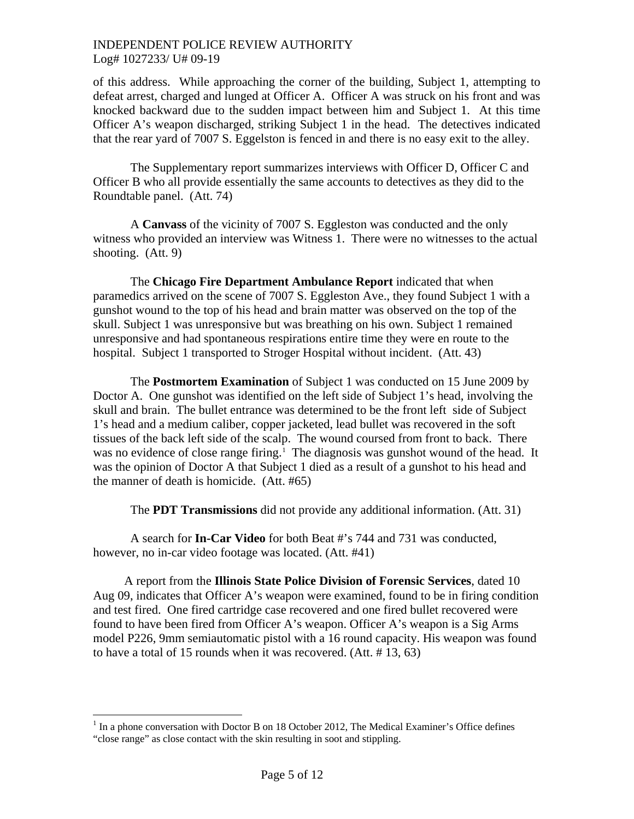of this address. While approaching the corner of the building, Subject 1, attempting to defeat arrest, charged and lunged at Officer A. Officer A was struck on his front and was knocked backward due to the sudden impact between him and Subject 1. At this time Officer A's weapon discharged, striking Subject 1 in the head. The detectives indicated that the rear yard of 7007 S. Eggelston is fenced in and there is no easy exit to the alley.

 The Supplementary report summarizes interviews with Officer D, Officer C and Officer B who all provide essentially the same accounts to detectives as they did to the Roundtable panel. (Att. 74)

A **Canvass** of the vicinity of 7007 S. Eggleston was conducted and the only witness who provided an interview was Witness 1. There were no witnesses to the actual shooting. (Att. 9)

 The **Chicago Fire Department Ambulance Report** indicated that when paramedics arrived on the scene of 7007 S. Eggleston Ave., they found Subject 1 with a gunshot wound to the top of his head and brain matter was observed on the top of the skull. Subject 1 was unresponsive but was breathing on his own. Subject 1 remained unresponsive and had spontaneous respirations entire time they were en route to the hospital. Subject 1 transported to Stroger Hospital without incident. (Att. 43)

 The **Postmortem Examination** of Subject 1 was conducted on 15 June 2009 by Doctor A. One gunshot was identified on the left side of Subject 1's head, involving the skull and brain. The bullet entrance was determined to be the front left side of Subject 1's head and a medium caliber, copper jacketed, lead bullet was recovered in the soft tissues of the back left side of the scalp. The wound coursed from front to back. There was no evidence of close range firing.<sup>[1](#page-4-0)</sup> The diagnosis was gunshot wound of the head. It was the opinion of Doctor A that Subject 1 died as a result of a gunshot to his head and the manner of death is homicide. (Att. #65)

The **PDT Transmissions** did not provide any additional information. (Att. 31)

A search for **In-Car Video** for both Beat #'s 744 and 731 was conducted, however, no in-car video footage was located. (Att. #41)

 A report from the **Illinois State Police Division of Forensic Services**, dated 10 Aug 09, indicates that Officer A's weapon were examined, found to be in firing condition and test fired. One fired cartridge case recovered and one fired bullet recovered were found to have been fired from Officer A's weapon. Officer A's weapon is a Sig Arms model P226, 9mm semiautomatic pistol with a 16 round capacity. His weapon was found to have a total of 15 rounds when it was recovered. (Att. # 13, 63)

<span id="page-4-0"></span><sup>&</sup>lt;sup>1</sup> In a phone conversation with Doctor B on 18 October 2012, The Medical Examiner's Office defines "close range" as close contact with the skin resulting in soot and stippling.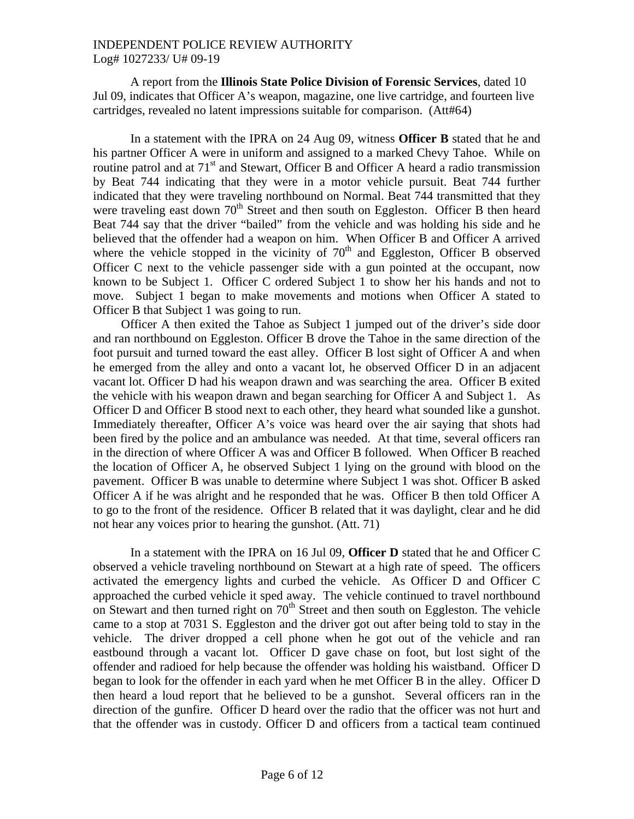A report from the **Illinois State Police Division of Forensic Services**, dated 10 Jul 09, indicates that Officer A's weapon, magazine, one live cartridge, and fourteen live cartridges, revealed no latent impressions suitable for comparison. (Att#64)

 In a statement with the IPRA on 24 Aug 09, witness **Officer B** stated that he and his partner Officer A were in uniform and assigned to a marked Chevy Tahoe. While on routine patrol and at  $71<sup>st</sup>$  and Stewart, Officer B and Officer A heard a radio transmission by Beat 744 indicating that they were in a motor vehicle pursuit. Beat 744 further indicated that they were traveling northbound on Normal. Beat 744 transmitted that they were traveling east down  $70<sup>th</sup>$  Street and then south on Eggleston. Officer B then heard Beat 744 say that the driver "bailed" from the vehicle and was holding his side and he believed that the offender had a weapon on him. When Officer B and Officer A arrived where the vehicle stopped in the vicinity of  $70<sup>th</sup>$  and Eggleston, Officer B observed Officer C next to the vehicle passenger side with a gun pointed at the occupant, now known to be Subject 1. Officer C ordered Subject 1 to show her his hands and not to move. Subject 1 began to make movements and motions when Officer A stated to Officer B that Subject 1 was going to run.

 Officer A then exited the Tahoe as Subject 1 jumped out of the driver's side door and ran northbound on Eggleston. Officer B drove the Tahoe in the same direction of the foot pursuit and turned toward the east alley. Officer B lost sight of Officer A and when he emerged from the alley and onto a vacant lot, he observed Officer D in an adjacent vacant lot. Officer D had his weapon drawn and was searching the area. Officer B exited the vehicle with his weapon drawn and began searching for Officer A and Subject 1. As Officer D and Officer B stood next to each other, they heard what sounded like a gunshot. Immediately thereafter, Officer A's voice was heard over the air saying that shots had been fired by the police and an ambulance was needed. At that time, several officers ran in the direction of where Officer A was and Officer B followed. When Officer B reached the location of Officer A, he observed Subject 1 lying on the ground with blood on the pavement. Officer B was unable to determine where Subject 1 was shot. Officer B asked Officer A if he was alright and he responded that he was. Officer B then told Officer A to go to the front of the residence. Officer B related that it was daylight, clear and he did not hear any voices prior to hearing the gunshot. (Att. 71)

In a statement with the IPRA on 16 Jul 09, **Officer D** stated that he and Officer C observed a vehicle traveling northbound on Stewart at a high rate of speed. The officers activated the emergency lights and curbed the vehicle. As Officer D and Officer C approached the curbed vehicle it sped away. The vehicle continued to travel northbound on Stewart and then turned right on  $70<sup>th</sup>$  Street and then south on Eggleston. The vehicle came to a stop at 7031 S. Eggleston and the driver got out after being told to stay in the vehicle. The driver dropped a cell phone when he got out of the vehicle and ran eastbound through a vacant lot. Officer D gave chase on foot, but lost sight of the offender and radioed for help because the offender was holding his waistband. Officer D began to look for the offender in each yard when he met Officer B in the alley. Officer D then heard a loud report that he believed to be a gunshot. Several officers ran in the direction of the gunfire. Officer D heard over the radio that the officer was not hurt and that the offender was in custody. Officer D and officers from a tactical team continued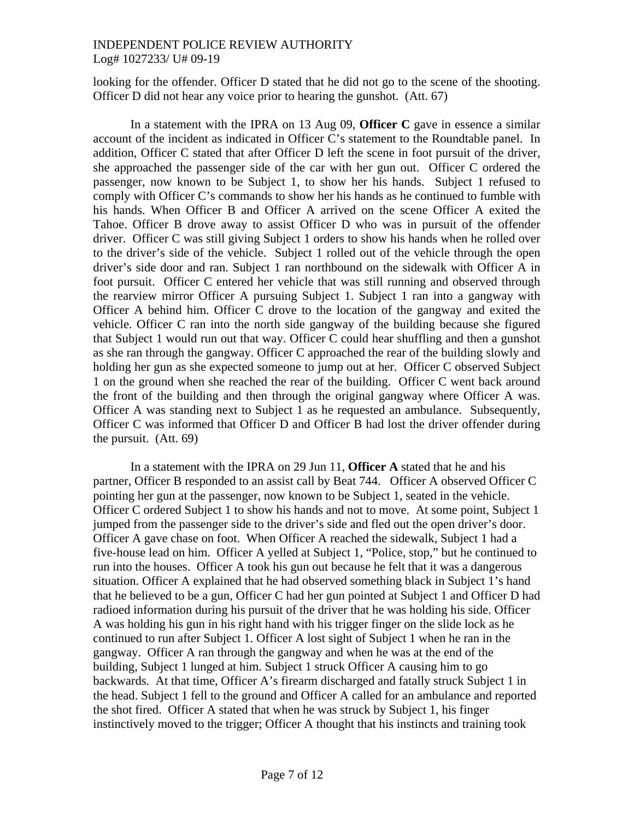looking for the offender. Officer D stated that he did not go to the scene of the shooting. Officer D did not hear any voice prior to hearing the gunshot. (Att. 67)

In a statement with the IPRA on 13 Aug 09, **Officer C** gave in essence a similar account of the incident as indicated in Officer C's statement to the Roundtable panel. In addition, Officer C stated that after Officer D left the scene in foot pursuit of the driver, she approached the passenger side of the car with her gun out. Officer C ordered the passenger, now known to be Subject 1, to show her his hands. Subject 1 refused to comply with Officer C's commands to show her his hands as he continued to fumble with his hands. When Officer B and Officer A arrived on the scene Officer A exited the Tahoe. Officer B drove away to assist Officer D who was in pursuit of the offender driver. Officer C was still giving Subject 1 orders to show his hands when he rolled over to the driver's side of the vehicle. Subject 1 rolled out of the vehicle through the open driver's side door and ran. Subject 1 ran northbound on the sidewalk with Officer A in foot pursuit. Officer C entered her vehicle that was still running and observed through the rearview mirror Officer A pursuing Subject 1. Subject 1 ran into a gangway with Officer A behind him. Officer C drove to the location of the gangway and exited the vehicle. Officer C ran into the north side gangway of the building because she figured that Subject 1 would run out that way. Officer C could hear shuffling and then a gunshot as she ran through the gangway. Officer C approached the rear of the building slowly and holding her gun as she expected someone to jump out at her. Officer C observed Subject 1 on the ground when she reached the rear of the building. Officer C went back around the front of the building and then through the original gangway where Officer A was. Officer A was standing next to Subject 1 as he requested an ambulance. Subsequently, Officer C was informed that Officer D and Officer B had lost the driver offender during the pursuit. (Att. 69)

In a statement with the IPRA on 29 Jun 11, **Officer A** stated that he and his partner, Officer B responded to an assist call by Beat 744. Officer A observed Officer C pointing her gun at the passenger, now known to be Subject 1, seated in the vehicle. Officer C ordered Subject 1 to show his hands and not to move. At some point, Subject 1 jumped from the passenger side to the driver's side and fled out the open driver's door. Officer A gave chase on foot. When Officer A reached the sidewalk, Subject 1 had a five-house lead on him. Officer A yelled at Subject 1, "Police, stop," but he continued to run into the houses. Officer A took his gun out because he felt that it was a dangerous situation. Officer A explained that he had observed something black in Subject 1's hand that he believed to be a gun, Officer C had her gun pointed at Subject 1 and Officer D had radioed information during his pursuit of the driver that he was holding his side. Officer A was holding his gun in his right hand with his trigger finger on the slide lock as he continued to run after Subject 1. Officer A lost sight of Subject 1 when he ran in the gangway. Officer A ran through the gangway and when he was at the end of the building, Subject 1 lunged at him. Subject 1 struck Officer A causing him to go backwards. At that time, Officer A's firearm discharged and fatally struck Subject 1 in the head. Subject 1 fell to the ground and Officer A called for an ambulance and reported the shot fired. Officer A stated that when he was struck by Subject 1, his finger instinctively moved to the trigger; Officer A thought that his instincts and training took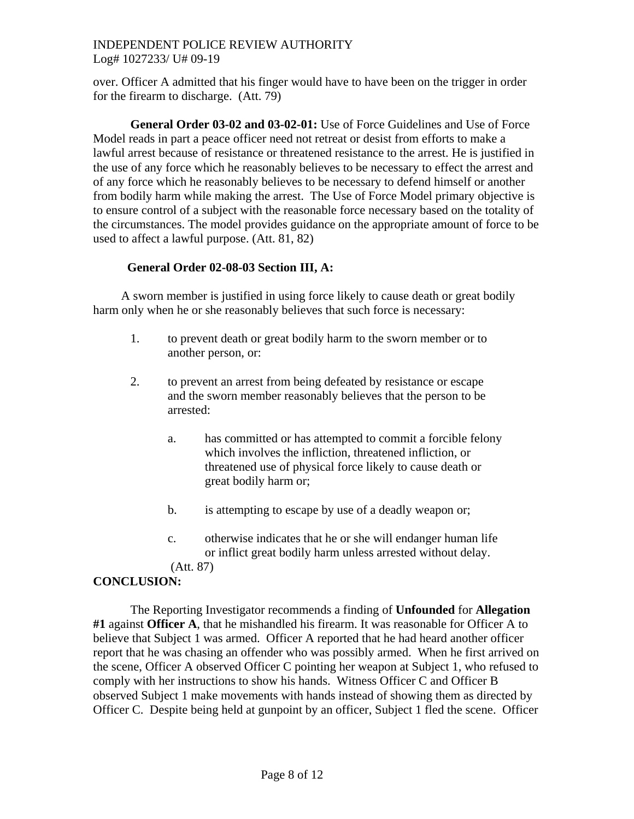over. Officer A admitted that his finger would have to have been on the trigger in order for the firearm to discharge. (Att. 79)

**General Order 03-02 and 03-02-01:** Use of Force Guidelines and Use of Force Model reads in part a peace officer need not retreat or desist from efforts to make a lawful arrest because of resistance or threatened resistance to the arrest. He is justified in the use of any force which he reasonably believes to be necessary to effect the arrest and of any force which he reasonably believes to be necessary to defend himself or another from bodily harm while making the arrest. The Use of Force Model primary objective is to ensure control of a subject with the reasonable force necessary based on the totality of the circumstances. The model provides guidance on the appropriate amount of force to be used to affect a lawful purpose. (Att. 81, 82)

# **General Order 02-08-03 Section III, A:**

 A sworn member is justified in using force likely to cause death or great bodily harm only when he or she reasonably believes that such force is necessary:

- 1. to prevent death or great bodily harm to the sworn member or to another person, or:
- 2. to prevent an arrest from being defeated by resistance or escape and the sworn member reasonably believes that the person to be arrested:
	- a. has committed or has attempted to commit a forcible felony which involves the infliction, threatened infliction, or threatened use of physical force likely to cause death or great bodily harm or;
	- b. is attempting to escape by use of a deadly weapon or;
	- c. otherwise indicates that he or she will endanger human life or inflict great bodily harm unless arrested without delay.

(Att. 87)

# **CONCLUSION:**

 The Reporting Investigator recommends a finding of **Unfounded** for **Allegation #1** against **Officer A**, that he mishandled his firearm. It was reasonable for Officer A to believe that Subject 1 was armed. Officer A reported that he had heard another officer report that he was chasing an offender who was possibly armed. When he first arrived on the scene, Officer A observed Officer C pointing her weapon at Subject 1, who refused to comply with her instructions to show his hands. Witness Officer C and Officer B observed Subject 1 make movements with hands instead of showing them as directed by Officer C. Despite being held at gunpoint by an officer, Subject 1 fled the scene. Officer